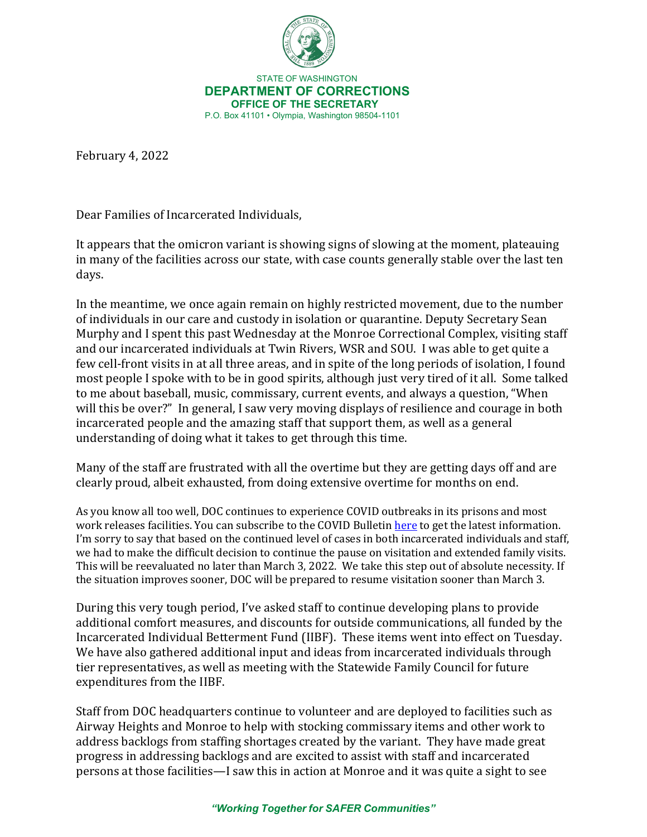

 STATE OF WASHINGTON **DEPARTMENT OF CORRECTIONS OFFICE OF THE SECRETARY** P.O. Box 41101 • Olympia, Washington 98504-1101

February 4, 2022

Dear Families of Incarcerated Individuals,

It appears that the omicron variant is showing signs of slowing at the moment, plateauing in many of the facilities across our state, with case counts generally stable over the last ten days.

In the meantime, we once again remain on highly restricted movement, due to the number of individuals in our care and custody in isolation or quarantine. Deputy Secretary Sean Murphy and I spent this past Wednesday at the Monroe Correctional Complex, visiting staff and our incarcerated individuals at Twin Rivers, WSR and SOU. I was able to get quite a few cell-front visits in at all three areas, and in spite of the long periods of isolation, I found most people I spoke with to be in good spirits, although just very tired of it all. Some talked to me about baseball, music, commissary, current events, and always a question, "When will this be over?" In general, I saw very moving displays of resilience and courage in both incarcerated people and the amazing staff that support them, as well as a general understanding of doing what it takes to get through this time.

Many of the staff are frustrated with all the overtime but they are getting days off and are clearly proud, albeit exhausted, from doing extensive overtime for months on end.

As you know all too well, DOC continues to experience COVID outbreaks in its prisons and most work releases facilities. You can subscribe to the COVID Bulleti[n here](https://wacorrections.formstack.com/forms/subscription_request) to get the latest information. I'm sorry to say that based on the continued level of cases in both incarcerated individuals and staff, we had to make the difficult decision to continue the pause on visitation and extended family visits. This will be reevaluated no later than March 3, 2022. We take this step out of absolute necessity. If the situation improves sooner, DOC will be prepared to resume visitation sooner than March 3.

During this very tough period, I've asked staff to continue developing plans to provide additional comfort measures, and discounts for outside communications, all funded by the Incarcerated Individual Betterment Fund (IIBF). These items went into effect on Tuesday. We have also gathered additional input and ideas from incarcerated individuals through tier representatives, as well as meeting with the Statewide Family Council for future expenditures from the IIBF.

Staff from DOC headquarters continue to volunteer and are deployed to facilities such as Airway Heights and Monroe to help with stocking commissary items and other work to address backlogs from staffing shortages created by the variant. They have made great progress in addressing backlogs and are excited to assist with staff and incarcerated persons at those facilities—I saw this in action at Monroe and it was quite a sight to see

*"Working Together for SAFER Communities"*